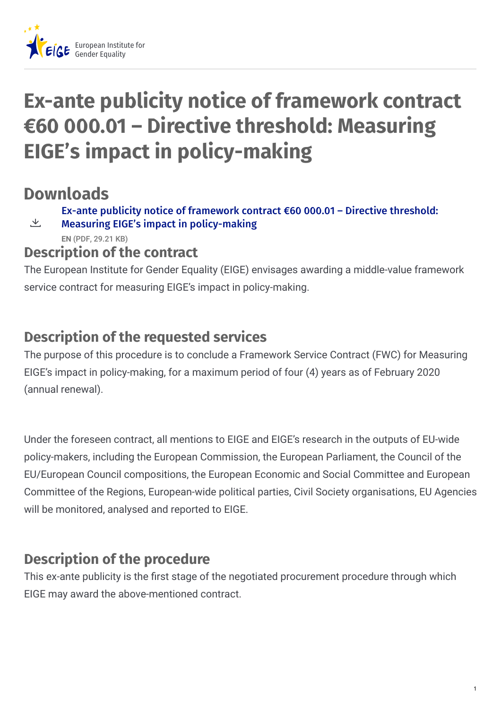

# **Ex-ante publicity notice of framework contract €60 000.01 – Directive threshold: Measuring EIGE's impact in policy-making**

## **Downloads**

Ex-ante publicity notice of framework contract €60 000.01 – Directive threshold:

Measuring EIGE's impact in [policy-making](https://eige.europa.eu/sites/default/files/documents/ex-ante_notice_0.pdf) **EN** (PDF, 29.21 KB) 飞

#### **Description of the contract**

The European Institute for Gender Equality (EIGE) envisages awarding a middle-value framework service contract for measuring EIGE's impact in policy-making.

### **Description of the requested services**

The purpose of this procedure is to conclude a Framework Service Contract (FWC) for Measuring EIGE's impact in policy-making, for a maximum period of four (4) years as of February 2020 (annual renewal).

Under the foreseen contract, all mentions to EIGE and EIGE's research in the outputs of EU-wide policy-makers, including the European Commission, the European Parliament, the Council of the EU/European Council compositions, the European Economic and Social Committee and European Committee of the Regions, European-wide political parties, Civil Society organisations, EU Agencies will be monitored, analysed and reported to EIGE.

#### **Description of the procedure**

This ex-ante publicity is the first stage of the negotiated procurement procedure through which EIGE may award the above-mentioned contract.